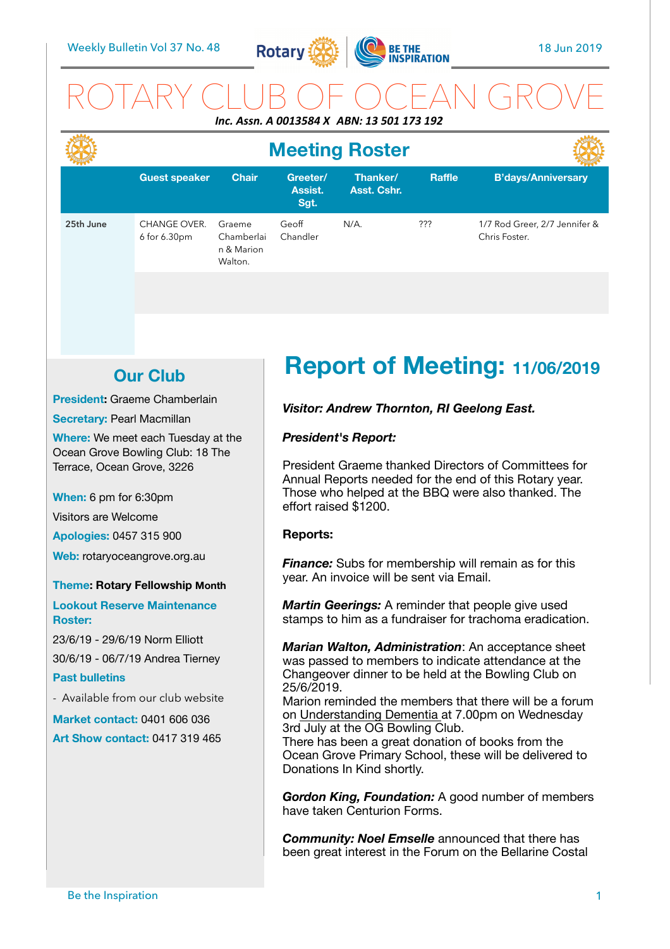

## ROTARY CLUB OF OCEAN GROVE *Inc. Assn. A 0013584 X ABN: 13 501 173 192*

|           | <b>Meeting Roster</b>        |                                               |                             |                         |        |                                                |
|-----------|------------------------------|-----------------------------------------------|-----------------------------|-------------------------|--------|------------------------------------------------|
|           | <b>Guest speaker</b>         | <b>Chair</b>                                  | Greeter/<br>Assist.<br>Sgt. | Thanker/<br>Asst. Cshr. | Raffle | <b>B'days/Anniversary</b>                      |
| 25th June | CHANGE OVER.<br>6 for 6.30pm | Graeme<br>Chamberlai<br>n & Marion<br>Walton. | Geoff<br>Chandler           | $N/A$ .                 | ???    | 1/7 Rod Greer, 2/7 Jennifer &<br>Chris Foster. |

## **Our Club**

**President:** Graeme Chamberlain

**Secretary: Pearl Macmillan** 

**Where:** We meet each Tuesday at the Ocean Grove Bowling Club: 18 The Terrace, Ocean Grove, 3226

**When:** 6 pm for 6:30pm

Visitors are Welcome

**Apologies:** 0457 315 900

**Web:** rotaryoceangrove.org.au

#### **Theme: Rotary Fellowship Month**

**Lookout Reserve Maintenance Roster:** 

23/6/19 - 29/6/19 Norm Elliott 30/6/19 - 06/7/19 Andrea Tierney

#### **Past bulletins**

- Available from our club website

**Market contact:** 0401 606 036

**Art Show contact:** 0417 319 465

# **Report of Meeting: 11/06/2019**

#### *Visitor: Andrew Thornton, RI Geelong East.*

#### *President's Report:*

President Graeme thanked Directors of Committees for Annual Reports needed for the end of this Rotary year. Those who helped at the BBQ were also thanked. The effort raised \$1200.

#### **Reports:**

*Finance:* Subs for membership will remain as for this year. An invoice will be sent via Email.

*Martin Geerings:* A reminder that people give used stamps to him as a fundraiser for trachoma eradication.

*Marian Walton, Administration*: An acceptance sheet was passed to members to indicate attendance at the Changeover dinner to be held at the Bowling Club on 25/6/2019.

Marion reminded the members that there will be a forum on Understanding Dementia at 7.00pm on Wednesday 3rd July at the OG Bowling Club.

There has been a great donation of books from the Ocean Grove Primary School, these will be delivered to Donations In Kind shortly.

*Gordon King, Foundation:* A good number of members have taken Centurion Forms.

*Community: Noel Emselle* announced that there has been great interest in the Forum on the Bellarine Costal